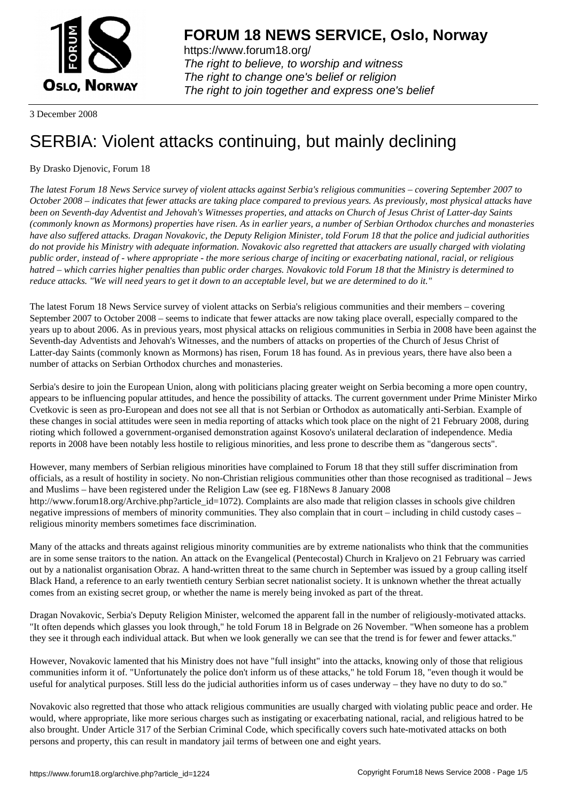

https://www.forum18.org/ The right to believe, to worship and witness The right to change one's belief or religion [The right to join together a](https://www.forum18.org/)nd express one's belief

3 December 2008

## [SERBIA: Violen](https://www.forum18.org)t attacks continuing, but mainly declining

## By Drasko Djenovic, Forum 18

*The latest Forum 18 News Service survey of violent attacks against Serbia's religious communities – covering September 2007 to October 2008 – indicates that fewer attacks are taking place compared to previous years. As previously, most physical attacks have been on Seventh-day Adventist and Jehovah's Witnesses properties, and attacks on Church of Jesus Christ of Latter-day Saints (commonly known as Mormons) properties have risen. As in earlier years, a number of Serbian Orthodox churches and monasteries have also suffered attacks. Dragan Novakovic, the Deputy Religion Minister, told Forum 18 that the police and judicial authorities do not provide his Ministry with adequate information. Novakovic also regretted that attackers are usually charged with violating public order, instead of - where appropriate - the more serious charge of inciting or exacerbating national, racial, or religious hatred – which carries higher penalties than public order charges. Novakovic told Forum 18 that the Ministry is determined to reduce attacks. "We will need years to get it down to an acceptable level, but we are determined to do it."*

The latest Forum 18 News Service survey of violent attacks on Serbia's religious communities and their members – covering September 2007 to October 2008 – seems to indicate that fewer attacks are now taking place overall, especially compared to the years up to about 2006. As in previous years, most physical attacks on religious communities in Serbia in 2008 have been against the Seventh-day Adventists and Jehovah's Witnesses, and the numbers of attacks on properties of the Church of Jesus Christ of Latter-day Saints (commonly known as Mormons) has risen, Forum 18 has found. As in previous years, there have also been a number of attacks on Serbian Orthodox churches and monasteries.

Serbia's desire to join the European Union, along with politicians placing greater weight on Serbia becoming a more open country, appears to be influencing popular attitudes, and hence the possibility of attacks. The current government under Prime Minister Mirko Cvetkovic is seen as pro-European and does not see all that is not Serbian or Orthodox as automatically anti-Serbian. Example of these changes in social attitudes were seen in media reporting of attacks which took place on the night of 21 February 2008, during rioting which followed a government-organised demonstration against Kosovo's unilateral declaration of independence. Media reports in 2008 have been notably less hostile to religious minorities, and less prone to describe them as "dangerous sects".

However, many members of Serbian religious minorities have complained to Forum 18 that they still suffer discrimination from officials, as a result of hostility in society. No non-Christian religious communities other than those recognised as traditional – Jews and Muslims – have been registered under the Religion Law (see eg. F18News 8 January 2008 http://www.forum18.org/Archive.php?article\_id=1072). Complaints are also made that religion classes in schools give children negative impressions of members of minority communities. They also complain that in court – including in child custody cases – religious minority members sometimes face discrimination.

Many of the attacks and threats against religious minority communities are by extreme nationalists who think that the communities are in some sense traitors to the nation. An attack on the Evangelical (Pentecostal) Church in Kraljevo on 21 February was carried out by a nationalist organisation Obraz. A hand-written threat to the same church in September was issued by a group calling itself Black Hand, a reference to an early twentieth century Serbian secret nationalist society. It is unknown whether the threat actually comes from an existing secret group, or whether the name is merely being invoked as part of the threat.

Dragan Novakovic, Serbia's Deputy Religion Minister, welcomed the apparent fall in the number of religiously-motivated attacks. "It often depends which glasses you look through," he told Forum 18 in Belgrade on 26 November. "When someone has a problem they see it through each individual attack. But when we look generally we can see that the trend is for fewer and fewer attacks."

However, Novakovic lamented that his Ministry does not have "full insight" into the attacks, knowing only of those that religious communities inform it of. "Unfortunately the police don't inform us of these attacks," he told Forum 18, "even though it would be useful for analytical purposes. Still less do the judicial authorities inform us of cases underway – they have no duty to do so."

Novakovic also regretted that those who attack religious communities are usually charged with violating public peace and order. He would, where appropriate, like more serious charges such as instigating or exacerbating national, racial, and religious hatred to be also brought. Under Article 317 of the Serbian Criminal Code, which specifically covers such hate-motivated attacks on both persons and property, this can result in mandatory jail terms of between one and eight years.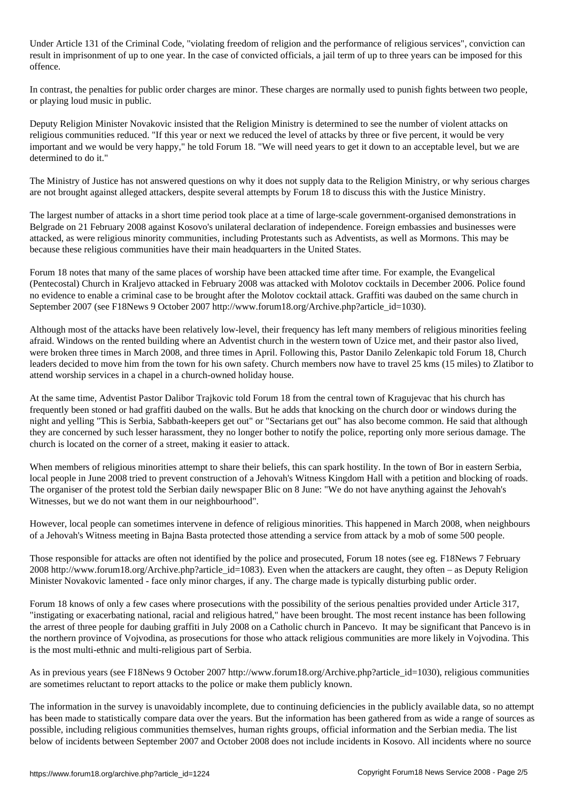Under Article 131 of the Criminal Code, "violating freedom of religion and the performance of religious services", conviction can result in imprisonment of up to one year. In the case of convicted officials, a jail term of up to three years can be imposed for this offence.

In contrast, the penalties for public order charges are minor. These charges are normally used to punish fights between two people, or playing loud music in public.

Deputy Religion Minister Novakovic insisted that the Religion Ministry is determined to see the number of violent attacks on religious communities reduced. "If this year or next we reduced the level of attacks by three or five percent, it would be very important and we would be very happy," he told Forum 18. "We will need years to get it down to an acceptable level, but we are determined to do it."

The Ministry of Justice has not answered questions on why it does not supply data to the Religion Ministry, or why serious charges are not brought against alleged attackers, despite several attempts by Forum 18 to discuss this with the Justice Ministry.

The largest number of attacks in a short time period took place at a time of large-scale government-organised demonstrations in Belgrade on 21 February 2008 against Kosovo's unilateral declaration of independence. Foreign embassies and businesses were attacked, as were religious minority communities, including Protestants such as Adventists, as well as Mormons. This may be because these religious communities have their main headquarters in the United States.

Forum 18 notes that many of the same places of worship have been attacked time after time. For example, the Evangelical (Pentecostal) Church in Kraljevo attacked in February 2008 was attacked with Molotov cocktails in December 2006. Police found no evidence to enable a criminal case to be brought after the Molotov cocktail attack. Graffiti was daubed on the same church in September 2007 (see F18News 9 October 2007 http://www.forum18.org/Archive.php?article\_id=1030).

Although most of the attacks have been relatively low-level, their frequency has left many members of religious minorities feeling afraid. Windows on the rented building where an Adventist church in the western town of Uzice met, and their pastor also lived, were broken three times in March 2008, and three times in April. Following this, Pastor Danilo Zelenkapic told Forum 18, Church leaders decided to move him from the town for his own safety. Church members now have to travel 25 kms (15 miles) to Zlatibor to attend worship services in a chapel in a church-owned holiday house.

At the same time, Adventist Pastor Dalibor Trajkovic told Forum 18 from the central town of Kragujevac that his church has frequently been stoned or had graffiti daubed on the walls. But he adds that knocking on the church door or windows during the night and yelling "This is Serbia, Sabbath-keepers get out" or "Sectarians get out" has also become common. He said that although they are concerned by such lesser harassment, they no longer bother to notify the police, reporting only more serious damage. The church is located on the corner of a street, making it easier to attack.

When members of religious minorities attempt to share their beliefs, this can spark hostility. In the town of Bor in eastern Serbia, local people in June 2008 tried to prevent construction of a Jehovah's Witness Kingdom Hall with a petition and blocking of roads. The organiser of the protest told the Serbian daily newspaper Blic on 8 June: "We do not have anything against the Jehovah's Witnesses, but we do not want them in our neighbourhood".

However, local people can sometimes intervene in defence of religious minorities. This happened in March 2008, when neighbours of a Jehovah's Witness meeting in Bajna Basta protected those attending a service from attack by a mob of some 500 people.

Those responsible for attacks are often not identified by the police and prosecuted, Forum 18 notes (see eg. F18News 7 February 2008 http://www.forum18.org/Archive.php?article\_id=1083). Even when the attackers are caught, they often – as Deputy Religion Minister Novakovic lamented - face only minor charges, if any. The charge made is typically disturbing public order.

Forum 18 knows of only a few cases where prosecutions with the possibility of the serious penalties provided under Article 317, "instigating or exacerbating national, racial and religious hatred," have been brought. The most recent instance has been following the arrest of three people for daubing graffiti in July 2008 on a Catholic church in Pancevo. It may be significant that Pancevo is in the northern province of Vojvodina, as prosecutions for those who attack religious communities are more likely in Vojvodina. This is the most multi-ethnic and multi-religious part of Serbia.

As in previous years (see F18News 9 October 2007 http://www.forum18.org/Archive.php?article\_id=1030), religious communities are sometimes reluctant to report attacks to the police or make them publicly known.

The information in the survey is unavoidably incomplete, due to continuing deficiencies in the publicly available data, so no attempt has been made to statistically compare data over the years. But the information has been gathered from as wide a range of sources as possible, including religious communities themselves, human rights groups, official information and the Serbian media. The list below of incidents between September 2007 and October 2008 does not include incidents in Kosovo. All incidents where no source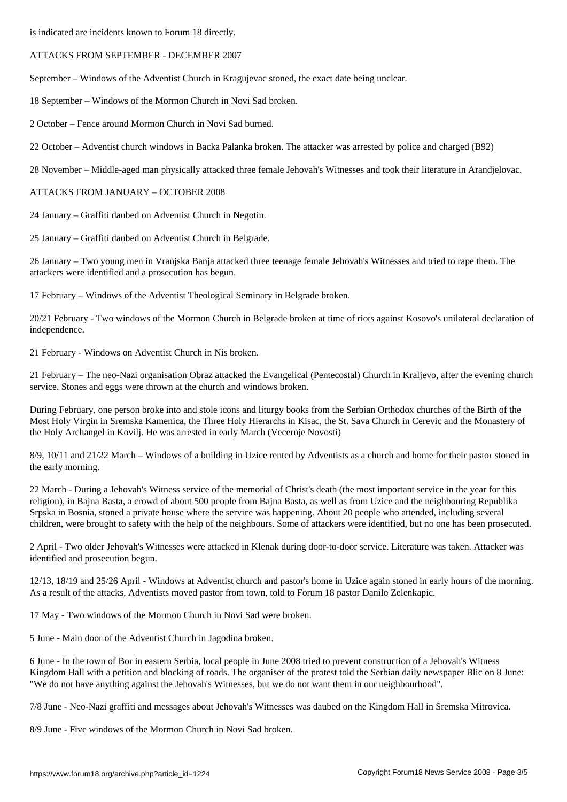## ATTACKS FROM SEPTEMBER - DECEMBER 2007

September – Windows of the Adventist Church in Kragujevac stoned, the exact date being unclear.

18 September – Windows of the Mormon Church in Novi Sad broken.

2 October – Fence around Mormon Church in Novi Sad burned.

22 October – Adventist church windows in Backa Palanka broken. The attacker was arrested by police and charged (B92)

28 November – Middle-aged man physically attacked three female Jehovah's Witnesses and took their literature in Arandjelovac.

ATTACKS FROM JANUARY – OCTOBER 2008

24 January – Graffiti daubed on Adventist Church in Negotin.

25 January – Graffiti daubed on Adventist Church in Belgrade.

26 January – Two young men in Vranjska Banja attacked three teenage female Jehovah's Witnesses and tried to rape them. The attackers were identified and a prosecution has begun.

17 February – Windows of the Adventist Theological Seminary in Belgrade broken.

20/21 February - Two windows of the Mormon Church in Belgrade broken at time of riots against Kosovo's unilateral declaration of independence.

21 February - Windows on Adventist Church in Nis broken.

21 February – The neo-Nazi organisation Obraz attacked the Evangelical (Pentecostal) Church in Kraljevo, after the evening church service. Stones and eggs were thrown at the church and windows broken.

During February, one person broke into and stole icons and liturgy books from the Serbian Orthodox churches of the Birth of the Most Holy Virgin in Sremska Kamenica, the Three Holy Hierarchs in Kisac, the St. Sava Church in Cerevic and the Monastery of the Holy Archangel in Kovilj. He was arrested in early March (Vecernje Novosti)

8/9, 10/11 and 21/22 March – Windows of a building in Uzice rented by Adventists as a church and home for their pastor stoned in the early morning.

22 March - During a Jehovah's Witness service of the memorial of Christ's death (the most important service in the year for this religion), in Bajna Basta, a crowd of about 500 people from Bajna Basta, as well as from Uzice and the neighbouring Republika Srpska in Bosnia, stoned a private house where the service was happening. About 20 people who attended, including several children, were brought to safety with the help of the neighbours. Some of attackers were identified, but no one has been prosecuted.

2 April - Two older Jehovah's Witnesses were attacked in Klenak during door-to-door service. Literature was taken. Attacker was identified and prosecution begun.

12/13, 18/19 and 25/26 April - Windows at Adventist church and pastor's home in Uzice again stoned in early hours of the morning. As a result of the attacks, Adventists moved pastor from town, told to Forum 18 pastor Danilo Zelenkapic.

17 May - Two windows of the Mormon Church in Novi Sad were broken.

5 June - Main door of the Adventist Church in Jagodina broken.

6 June - In the town of Bor in eastern Serbia, local people in June 2008 tried to prevent construction of a Jehovah's Witness Kingdom Hall with a petition and blocking of roads. The organiser of the protest told the Serbian daily newspaper Blic on 8 June: "We do not have anything against the Jehovah's Witnesses, but we do not want them in our neighbourhood".

7/8 June - Neo-Nazi graffiti and messages about Jehovah's Witnesses was daubed on the Kingdom Hall in Sremska Mitrovica.

8/9 June - Five windows of the Mormon Church in Novi Sad broken.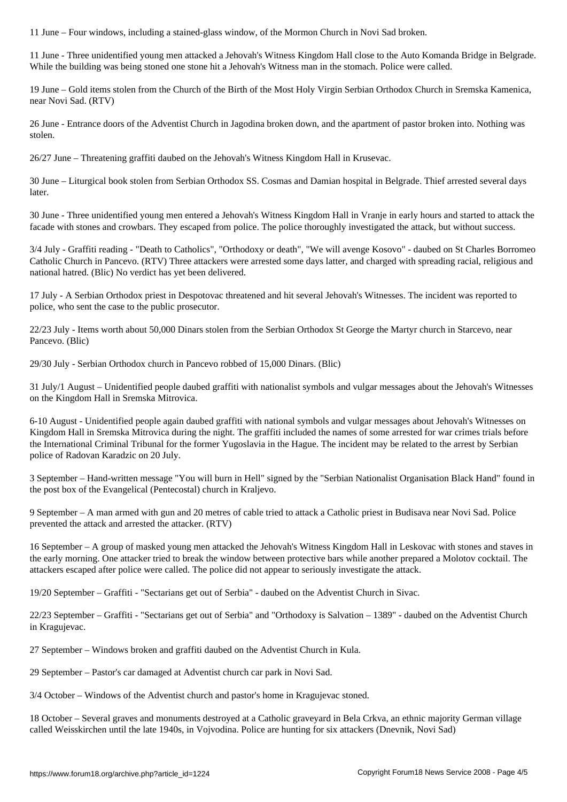11 June - Three unidentified young men attacked a Jehovah's Witness Kingdom Hall close to the Auto Komanda Bridge in Belgrade. While the building was being stoned one stone hit a Jehovah's Witness man in the stomach. Police were called.

19 June – Gold items stolen from the Church of the Birth of the Most Holy Virgin Serbian Orthodox Church in Sremska Kamenica, near Novi Sad. (RTV)

26 June - Entrance doors of the Adventist Church in Jagodina broken down, and the apartment of pastor broken into. Nothing was stolen.

26/27 June – Threatening graffiti daubed on the Jehovah's Witness Kingdom Hall in Krusevac.

30 June – Liturgical book stolen from Serbian Orthodox SS. Cosmas and Damian hospital in Belgrade. Thief arrested several days later.

30 June - Three unidentified young men entered a Jehovah's Witness Kingdom Hall in Vranje in early hours and started to attack the facade with stones and crowbars. They escaped from police. The police thoroughly investigated the attack, but without success.

3/4 July - Graffiti reading - "Death to Catholics", "Orthodoxy or death", "We will avenge Kosovo" - daubed on St Charles Borromeo Catholic Church in Pancevo. (RTV) Three attackers were arrested some days latter, and charged with spreading racial, religious and national hatred. (Blic) No verdict has yet been delivered.

17 July - A Serbian Orthodox priest in Despotovac threatened and hit several Jehovah's Witnesses. The incident was reported to police, who sent the case to the public prosecutor.

22/23 July - Items worth about 50,000 Dinars stolen from the Serbian Orthodox St George the Martyr church in Starcevo, near Pancevo. (Blic)

29/30 July - Serbian Orthodox church in Pancevo robbed of 15,000 Dinars. (Blic)

31 July/1 August – Unidentified people daubed graffiti with nationalist symbols and vulgar messages about the Jehovah's Witnesses on the Kingdom Hall in Sremska Mitrovica.

6-10 August - Unidentified people again daubed graffiti with national symbols and vulgar messages about Jehovah's Witnesses on Kingdom Hall in Sremska Mitrovica during the night. The graffiti included the names of some arrested for war crimes trials before the International Criminal Tribunal for the former Yugoslavia in the Hague. The incident may be related to the arrest by Serbian police of Radovan Karadzic on 20 July.

3 September – Hand-written message "You will burn in Hell" signed by the "Serbian Nationalist Organisation Black Hand" found in the post box of the Evangelical (Pentecostal) church in Kraljevo.

9 September – A man armed with gun and 20 metres of cable tried to attack a Catholic priest in Budisava near Novi Sad. Police prevented the attack and arrested the attacker. (RTV)

16 September – A group of masked young men attacked the Jehovah's Witness Kingdom Hall in Leskovac with stones and staves in the early morning. One attacker tried to break the window between protective bars while another prepared a Molotov cocktail. The attackers escaped after police were called. The police did not appear to seriously investigate the attack.

19/20 September – Graffiti - "Sectarians get out of Serbia" - daubed on the Adventist Church in Sivac.

22/23 September – Graffiti - "Sectarians get out of Serbia" and "Orthodoxy is Salvation – 1389" - daubed on the Adventist Church in Kragujevac.

27 September – Windows broken and graffiti daubed on the Adventist Church in Kula.

29 September – Pastor's car damaged at Adventist church car park in Novi Sad.

3/4 October – Windows of the Adventist church and pastor's home in Kragujevac stoned.

18 October – Several graves and monuments destroyed at a Catholic graveyard in Bela Crkva, an ethnic majority German village called Weisskirchen until the late 1940s, in Vojvodina. Police are hunting for six attackers (Dnevnik, Novi Sad)